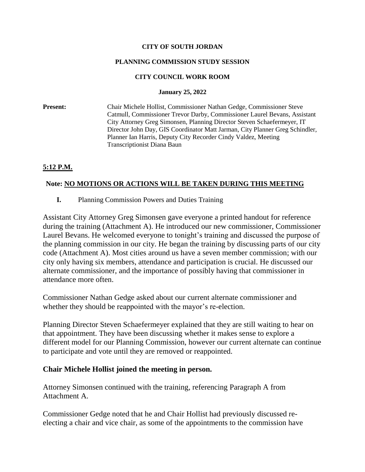### **CITY OF SOUTH JORDAN**

### **PLANNING COMMISSION STUDY SESSION**

### **CITY COUNCIL WORK ROOM**

#### **January 25, 2022**

**Present:** Chair Michele Hollist, Commissioner Nathan Gedge, Commissioner Steve Catmull, Commissioner Trevor Darby, Commissioner Laurel Bevans, Assistant City Attorney Greg Simonsen, Planning Director Steven Schaefermeyer, IT Director John Day, GIS Coordinator Matt Jarman, City Planner Greg Schindler, Planner Ian Harris, Deputy City Recorder Cindy Valdez, Meeting Transcriptionist Diana Baun

# **5:12 P.M.**

## **Note: NO MOTIONS OR ACTIONS WILL BE TAKEN DURING THIS MEETING**

**I.** Planning Commission Powers and Duties Training

Assistant City Attorney Greg Simonsen gave everyone a printed handout for reference during the training (Attachment A). He introduced our new commissioner, Commissioner Laurel Bevans. He welcomed everyone to tonight's training and discussed the purpose of the planning commission in our city. He began the training by discussing parts of our city code (Attachment A). Most cities around us have a seven member commission; with our city only having six members, attendance and participation is crucial. He discussed our alternate commissioner, and the importance of possibly having that commissioner in attendance more often.

Commissioner Nathan Gedge asked about our current alternate commissioner and whether they should be reappointed with the mayor's re-election.

Planning Director Steven Schaefermeyer explained that they are still waiting to hear on that appointment. They have been discussing whether it makes sense to explore a different model for our Planning Commission, however our current alternate can continue to participate and vote until they are removed or reappointed.

## **Chair Michele Hollist joined the meeting in person.**

Attorney Simonsen continued with the training, referencing Paragraph A from Attachment A.

Commissioner Gedge noted that he and Chair Hollist had previously discussed reelecting a chair and vice chair, as some of the appointments to the commission have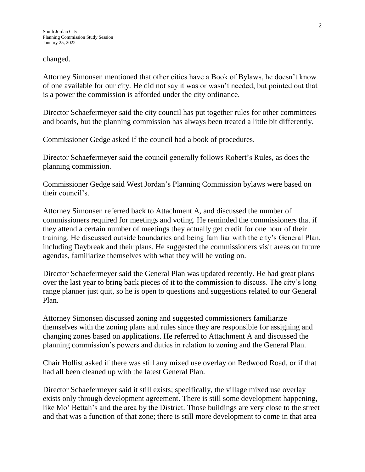changed.

Attorney Simonsen mentioned that other cities have a Book of Bylaws, he doesn't know of one available for our city. He did not say it was or wasn't needed, but pointed out that is a power the commission is afforded under the city ordinance.

Director Schaefermeyer said the city council has put together rules for other committees and boards, but the planning commission has always been treated a little bit differently.

Commissioner Gedge asked if the council had a book of procedures.

Director Schaefermeyer said the council generally follows Robert's Rules, as does the planning commission.

Commissioner Gedge said West Jordan's Planning Commission bylaws were based on their council's.

Attorney Simonsen referred back to Attachment A, and discussed the number of commissioners required for meetings and voting. He reminded the commissioners that if they attend a certain number of meetings they actually get credit for one hour of their training. He discussed outside boundaries and being familiar with the city's General Plan, including Daybreak and their plans. He suggested the commissioners visit areas on future agendas, familiarize themselves with what they will be voting on.

Director Schaefermeyer said the General Plan was updated recently. He had great plans over the last year to bring back pieces of it to the commission to discuss. The city's long range planner just quit, so he is open to questions and suggestions related to our General Plan.

Attorney Simonsen discussed zoning and suggested commissioners familiarize themselves with the zoning plans and rules since they are responsible for assigning and changing zones based on applications. He referred to Attachment A and discussed the planning commission's powers and duties in relation to zoning and the General Plan.

Chair Hollist asked if there was still any mixed use overlay on Redwood Road, or if that had all been cleaned up with the latest General Plan.

Director Schaefermeyer said it still exists; specifically, the village mixed use overlay exists only through development agreement. There is still some development happening, like Mo' Bettah's and the area by the District. Those buildings are very close to the street and that was a function of that zone; there is still more development to come in that area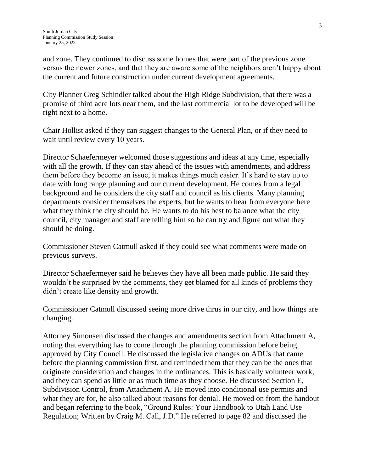and zone. They continued to discuss some homes that were part of the previous zone versus the newer zones, and that they are aware some of the neighbors aren't happy about the current and future construction under current development agreements.

City Planner Greg Schindler talked about the High Ridge Subdivision, that there was a promise of third acre lots near them, and the last commercial lot to be developed will be right next to a home.

Chair Hollist asked if they can suggest changes to the General Plan, or if they need to wait until review every 10 years.

Director Schaefermeyer welcomed those suggestions and ideas at any time, especially with all the growth. If they can stay ahead of the issues with amendments, and address them before they become an issue, it makes things much easier. It's hard to stay up to date with long range planning and our current development. He comes from a legal background and he considers the city staff and council as his clients. Many planning departments consider themselves the experts, but he wants to hear from everyone here what they think the city should be. He wants to do his best to balance what the city council, city manager and staff are telling him so he can try and figure out what they should be doing.

Commissioner Steven Catmull asked if they could see what comments were made on previous surveys.

Director Schaefermeyer said he believes they have all been made public. He said they wouldn't be surprised by the comments, they get blamed for all kinds of problems they didn't create like density and growth.

Commissioner Catmull discussed seeing more drive thrus in our city, and how things are changing.

Attorney Simonsen discussed the changes and amendments section from Attachment A, noting that everything has to come through the planning commission before being approved by City Council. He discussed the legislative changes on ADUs that came before the planning commission first, and reminded them that they can be the ones that originate consideration and changes in the ordinances. This is basically volunteer work, and they can spend as little or as much time as they choose. He discussed Section E, Subdivision Control, from Attachment A. He moved into conditional use permits and what they are for, he also talked about reasons for denial. He moved on from the handout and began referring to the book, "Ground Rules: Your Handbook to Utah Land Use Regulation; Written by Craig M. Call, J.D." He referred to page 82 and discussed the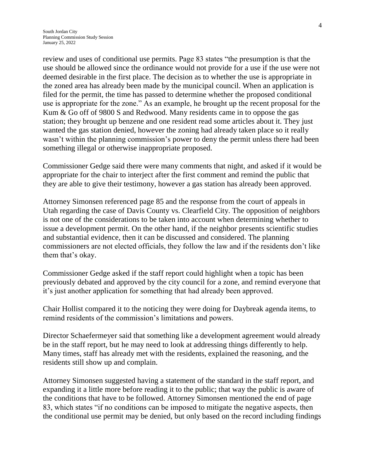review and uses of conditional use permits. Page 83 states "the presumption is that the use should be allowed since the ordinance would not provide for a use if the use were not deemed desirable in the first place. The decision as to whether the use is appropriate in the zoned area has already been made by the municipal council. When an application is filed for the permit, the time has passed to determine whether the proposed conditional use is appropriate for the zone." As an example, he brought up the recent proposal for the Kum & Go off of 9800 S and Redwood. Many residents came in to oppose the gas station; they brought up benzene and one resident read some articles about it. They just wanted the gas station denied, however the zoning had already taken place so it really wasn't within the planning commission's power to deny the permit unless there had been something illegal or otherwise inappropriate proposed.

Commissioner Gedge said there were many comments that night, and asked if it would be appropriate for the chair to interject after the first comment and remind the public that they are able to give their testimony, however a gas station has already been approved.

Attorney Simonsen referenced page 85 and the response from the court of appeals in Utah regarding the case of Davis County vs. Clearfield City. The opposition of neighbors is not one of the considerations to be taken into account when determining whether to issue a development permit. On the other hand, if the neighbor presents scientific studies and substantial evidence, then it can be discussed and considered. The planning commissioners are not elected officials, they follow the law and if the residents don't like them that's okay.

Commissioner Gedge asked if the staff report could highlight when a topic has been previously debated and approved by the city council for a zone, and remind everyone that it's just another application for something that had already been approved.

Chair Hollist compared it to the noticing they were doing for Daybreak agenda items, to remind residents of the commission's limitations and powers.

Director Schaefermeyer said that something like a development agreement would already be in the staff report, but he may need to look at addressing things differently to help. Many times, staff has already met with the residents, explained the reasoning, and the residents still show up and complain.

Attorney Simonsen suggested having a statement of the standard in the staff report, and expanding it a little more before reading it to the public; that way the public is aware of the conditions that have to be followed. Attorney Simonsen mentioned the end of page 83, which states "if no conditions can be imposed to mitigate the negative aspects, then the conditional use permit may be denied, but only based on the record including findings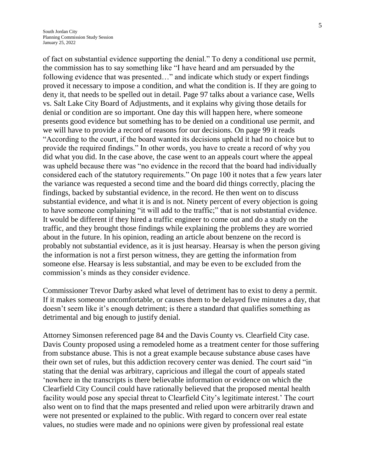of fact on substantial evidence supporting the denial." To deny a conditional use permit, the commission has to say something like "I have heard and am persuaded by the following evidence that was presented…" and indicate which study or expert findings proved it necessary to impose a condition, and what the condition is. If they are going to deny it, that needs to be spelled out in detail. Page 97 talks about a variance case, Wells vs. Salt Lake City Board of Adjustments, and it explains why giving those details for denial or condition are so important. One day this will happen here, where someone presents good evidence but something has to be denied on a conditional use permit, and we will have to provide a record of reasons for our decisions. On page 99 it reads "According to the court, if the board wanted its decisions upheld it had no choice but to provide the required findings." In other words, you have to create a record of why you did what you did. In the case above, the case went to an appeals court where the appeal was upheld because there was "no evidence in the record that the board had individually considered each of the statutory requirements." On page 100 it notes that a few years later the variance was requested a second time and the board did things correctly, placing the findings, backed by substantial evidence, in the record. He then went on to discuss substantial evidence, and what it is and is not. Ninety percent of every objection is going to have someone complaining "it will add to the traffic;" that is not substantial evidence. It would be different if they hired a traffic engineer to come out and do a study on the traffic, and they brought those findings while explaining the problems they are worried about in the future. In his opinion, reading an article about benzene on the record is probably not substantial evidence, as it is just hearsay. Hearsay is when the person giving the information is not a first person witness, they are getting the information from someone else. Hearsay is less substantial, and may be even to be excluded from the commission's minds as they consider evidence.

Commissioner Trevor Darby asked what level of detriment has to exist to deny a permit. If it makes someone uncomfortable, or causes them to be delayed five minutes a day, that doesn't seem like it's enough detriment; is there a standard that qualifies something as detrimental and big enough to justify denial.

Attorney Simonsen referenced page 84 and the Davis County vs. Clearfield City case. Davis County proposed using a remodeled home as a treatment center for those suffering from substance abuse. This is not a great example because substance abuse cases have their own set of rules, but this addiction recovery center was denied. The court said "in stating that the denial was arbitrary, capricious and illegal the court of appeals stated 'nowhere in the transcripts is there believable information or evidence on which the Clearfield City Council could have rationally believed that the proposed mental health facility would pose any special threat to Clearfield City's legitimate interest.' The court also went on to find that the maps presented and relied upon were arbitrarily drawn and were not presented or explained to the public. With regard to concern over real estate values, no studies were made and no opinions were given by professional real estate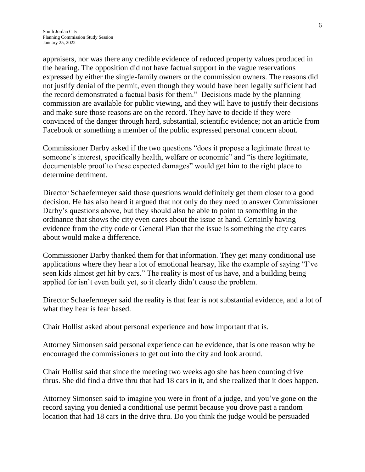appraisers, nor was there any credible evidence of reduced property values produced in the hearing. The opposition did not have factual support in the vague reservations expressed by either the single-family owners or the commission owners. The reasons did not justify denial of the permit, even though they would have been legally sufficient had the record demonstrated a factual basis for them." Decisions made by the planning commission are available for public viewing, and they will have to justify their decisions and make sure those reasons are on the record. They have to decide if they were convinced of the danger through hard, substantial, scientific evidence; not an article from Facebook or something a member of the public expressed personal concern about.

Commissioner Darby asked if the two questions "does it propose a legitimate threat to someone's interest, specifically health, welfare or economic" and "is there legitimate, documentable proof to these expected damages" would get him to the right place to determine detriment.

Director Schaefermeyer said those questions would definitely get them closer to a good decision. He has also heard it argued that not only do they need to answer Commissioner Darby's questions above, but they should also be able to point to something in the ordinance that shows the city even cares about the issue at hand. Certainly having evidence from the city code or General Plan that the issue is something the city cares about would make a difference.

Commissioner Darby thanked them for that information. They get many conditional use applications where they hear a lot of emotional hearsay, like the example of saying "I've seen kids almost get hit by cars." The reality is most of us have, and a building being applied for isn't even built yet, so it clearly didn't cause the problem.

Director Schaefermeyer said the reality is that fear is not substantial evidence, and a lot of what they hear is fear based.

Chair Hollist asked about personal experience and how important that is.

Attorney Simonsen said personal experience can be evidence, that is one reason why he encouraged the commissioners to get out into the city and look around.

Chair Hollist said that since the meeting two weeks ago she has been counting drive thrus. She did find a drive thru that had 18 cars in it, and she realized that it does happen.

Attorney Simonsen said to imagine you were in front of a judge, and you've gone on the record saying you denied a conditional use permit because you drove past a random location that had 18 cars in the drive thru. Do you think the judge would be persuaded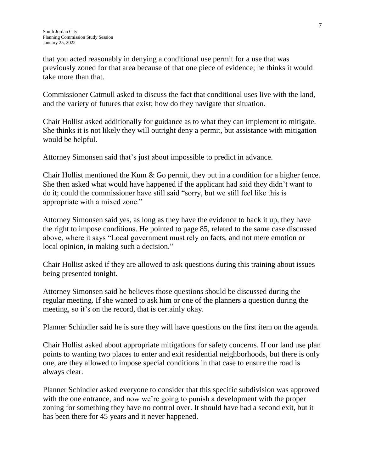that you acted reasonably in denying a conditional use permit for a use that was previously zoned for that area because of that one piece of evidence; he thinks it would take more than that.

Commissioner Catmull asked to discuss the fact that conditional uses live with the land, and the variety of futures that exist; how do they navigate that situation.

Chair Hollist asked additionally for guidance as to what they can implement to mitigate. She thinks it is not likely they will outright deny a permit, but assistance with mitigation would be helpful.

Attorney Simonsen said that's just about impossible to predict in advance.

Chair Hollist mentioned the Kum & Go permit, they put in a condition for a higher fence. She then asked what would have happened if the applicant had said they didn't want to do it; could the commissioner have still said "sorry, but we still feel like this is appropriate with a mixed zone."

Attorney Simonsen said yes, as long as they have the evidence to back it up, they have the right to impose conditions. He pointed to page 85, related to the same case discussed above, where it says "Local government must rely on facts, and not mere emotion or local opinion, in making such a decision."

Chair Hollist asked if they are allowed to ask questions during this training about issues being presented tonight.

Attorney Simonsen said he believes those questions should be discussed during the regular meeting. If she wanted to ask him or one of the planners a question during the meeting, so it's on the record, that is certainly okay.

Planner Schindler said he is sure they will have questions on the first item on the agenda.

Chair Hollist asked about appropriate mitigations for safety concerns. If our land use plan points to wanting two places to enter and exit residential neighborhoods, but there is only one, are they allowed to impose special conditions in that case to ensure the road is always clear.

Planner Schindler asked everyone to consider that this specific subdivision was approved with the one entrance, and now we're going to punish a development with the proper zoning for something they have no control over. It should have had a second exit, but it has been there for 45 years and it never happened.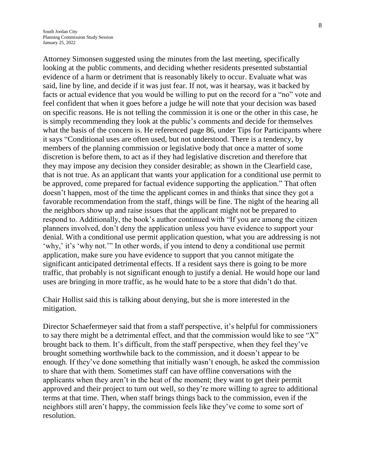Attorney Simonsen suggested using the minutes from the last meeting, specifically looking at the public comments, and deciding whether residents presented substantial evidence of a harm or detriment that is reasonably likely to occur. Evaluate what was said, line by line, and decide if it was just fear. If not, was it hearsay, was it backed by facts or actual evidence that you would be willing to put on the record for a "no" vote and feel confident that when it goes before a judge he will note that your decision was based on specific reasons. He is not telling the commission it is one or the other in this case, he is simply recommending they look at the public's comments and decide for themselves what the basis of the concern is. He referenced page 86, under Tips for Participants where it says "Conditional uses are often used, but not understood. There is a tendency, by members of the planning commission or legislative body that once a matter of some discretion is before them, to act as if they had legislative discretion and therefore that they may impose any decision they consider desirable; as shown in the Clearfield case, that is not true. As an applicant that wants your application for a conditional use permit to be approved, come prepared for factual evidence supporting the application." That often doesn't happen, most of the time the applicant comes in and thinks that since they got a favorable recommendation from the staff, things will be fine. The night of the hearing all the neighbors show up and raise issues that the applicant might not be prepared to respond to. Additionally, the book's author continued with "If you are among the citizen planners involved, don't deny the application unless you have evidence to support your denial. With a conditional use permit application question, what you are addressing is not 'why,' it's 'why not.'" In other words, if you intend to deny a conditional use permit application, make sure you have evidence to support that you cannot mitigate the significant anticipated detrimental effects. If a resident says there is going to be more traffic, that probably is not significant enough to justify a denial. He would hope our land uses are bringing in more traffic, as he would hate to be a store that didn't do that.

Chair Hollist said this is talking about denying, but she is more interested in the mitigation.

Director Schaefermeyer said that from a staff perspective, it's helpful for commissioners to say there might be a detrimental effect, and that the commission would like to see "X" brought back to them. It's difficult, from the staff perspective, when they feel they've brought something worthwhile back to the commission, and it doesn't appear to be enough. If they've done something that initially wasn't enough, he asked the commission to share that with them. Sometimes staff can have offline conversations with the applicants when they aren't in the heat of the moment; they want to get their permit approved and their project to turn out well, so they're more willing to agree to additional terms at that time. Then, when staff brings things back to the commission, even if the neighbors still aren't happy, the commission feels like they've come to some sort of resolution.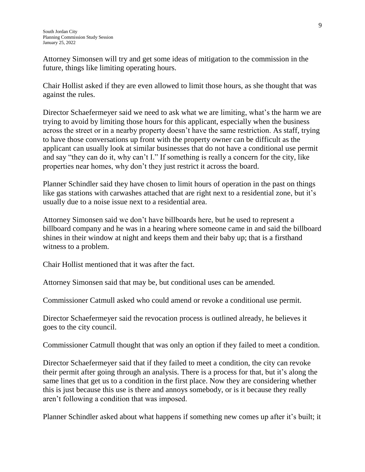Attorney Simonsen will try and get some ideas of mitigation to the commission in the future, things like limiting operating hours.

Chair Hollist asked if they are even allowed to limit those hours, as she thought that was against the rules.

Director Schaefermeyer said we need to ask what we are limiting, what's the harm we are trying to avoid by limiting those hours for this applicant, especially when the business across the street or in a nearby property doesn't have the same restriction. As staff, trying to have those conversations up front with the property owner can be difficult as the applicant can usually look at similar businesses that do not have a conditional use permit and say "they can do it, why can't I." If something is really a concern for the city, like properties near homes, why don't they just restrict it across the board.

Planner Schindler said they have chosen to limit hours of operation in the past on things like gas stations with carwashes attached that are right next to a residential zone, but it's usually due to a noise issue next to a residential area.

Attorney Simonsen said we don't have billboards here, but he used to represent a billboard company and he was in a hearing where someone came in and said the billboard shines in their window at night and keeps them and their baby up; that is a firsthand witness to a problem.

Chair Hollist mentioned that it was after the fact.

Attorney Simonsen said that may be, but conditional uses can be amended.

Commissioner Catmull asked who could amend or revoke a conditional use permit.

Director Schaefermeyer said the revocation process is outlined already, he believes it goes to the city council.

Commissioner Catmull thought that was only an option if they failed to meet a condition.

Director Schaefermeyer said that if they failed to meet a condition, the city can revoke their permit after going through an analysis. There is a process for that, but it's along the same lines that get us to a condition in the first place. Now they are considering whether this is just because this use is there and annoys somebody, or is it because they really aren't following a condition that was imposed.

Planner Schindler asked about what happens if something new comes up after it's built; it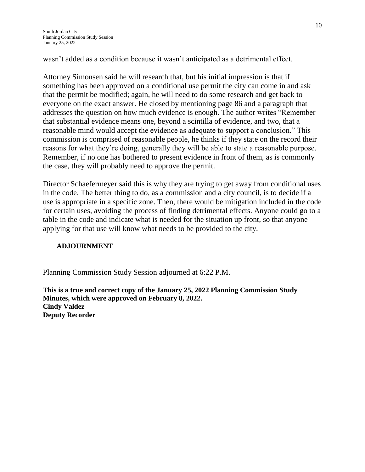wasn't added as a condition because it wasn't anticipated as a detrimental effect.

Attorney Simonsen said he will research that, but his initial impression is that if something has been approved on a conditional use permit the city can come in and ask that the permit be modified; again, he will need to do some research and get back to everyone on the exact answer. He closed by mentioning page 86 and a paragraph that addresses the question on how much evidence is enough. The author writes "Remember that substantial evidence means one, beyond a scintilla of evidence, and two, that a reasonable mind would accept the evidence as adequate to support a conclusion." This commission is comprised of reasonable people, he thinks if they state on the record their reasons for what they're doing, generally they will be able to state a reasonable purpose. Remember, if no one has bothered to present evidence in front of them, as is commonly the case, they will probably need to approve the permit.

Director Schaefermeyer said this is why they are trying to get away from conditional uses in the code. The better thing to do, as a commission and a city council, is to decide if a use is appropriate in a specific zone. Then, there would be mitigation included in the code for certain uses, avoiding the process of finding detrimental effects. Anyone could go to a table in the code and indicate what is needed for the situation up front, so that anyone applying for that use will know what needs to be provided to the city.

# **ADJOURNMENT**

Planning Commission Study Session adjourned at 6:22 P.M.

**This is a true and correct copy of the January 25, 2022 Planning Commission Study Minutes, which were approved on February 8, 2022. Cindy Valdez Deputy Recorder**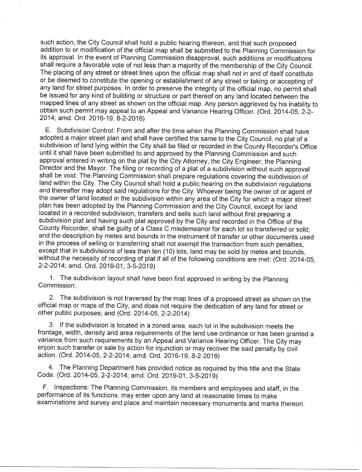such action, the City Council shall hold a public hearing thereon, and that such proposed addition to or modification of the official map shall be submitted to the Planning Commission for its approval. In the event of Planning Commission disapproval, such additions or modifications shall require a favorable vote of not less than a majority of the membership of the City Council. The placing of any street or street lines upon the official map shall not in and of itself constitute or be deemed to constitute the opening or establishment of any street or taking or accepting of any land for street purposes. In order to preserve the integrity of the official map, no permit shall be issued for any kind of building or structure or part thereof on any land located between the mapped lines of any street as shown on the official map. Any person aggrieved by his inability to obtain such permit may appeal to an Appeal and Variance Hearing Officer. (Ord. 2014-05, 2-2-2014; amd. Ord. 2016-19, 8-2-2016)

E. Subdivision Control: From and after the time when the Planning Commission shall have adopted a major street plan and shall have certified the same to the City Council, no plat of a subdivision of land lying within the City shall be filed or recorded in the County Recorder's Office until it shall have been submitted to and approved by the Planning Commission and such approval entered in writing on the plat by the City Attorney, the City Engineer, the Planning Director and the Mayor. The filing or recording of a plat of a subdivision without such approval shall be void. The Planning Commission shall prepare regulations covering the subdivision of land within the City. The City Council shall hold a public hearing on the subdivision regulations and thereafter may adopt said regulations for the City. Whoever being the owner of or agent of the owner of land located in the subdivision within any area of the City for which a major street plan has been adopted by the Planning Commission and the City Council, except for land located in a recorded subdivision, transfers and sells such land without first preparing a subdivision plat and having such plat approved by the City and recorded in the Office of the County Recorder, shall be guilty of a Class C misdemeanor for each lot so transferred or sold; and the description by metes and bounds in the instrument of transfer or other documents used in the process of selling or transferring shall not exempt the transaction from such penalties, except that in subdivisions of less than ten (10) lots, land may be sold by metes and bounds. without the necessity of recording of plat if all of the following conditions are met: (Ord. 2014-05, 2-2-2014; amd. Ord. 2019-01, 3-5-2019)

1. The subdivision layout shall have been first approved in writing by the Planning Commission;

2. The subdivision is not traversed by the map lines of a proposed street as shown on the official map or maps of the City, and does not require the dedication of any land for street or other public purposes; and (Ord. 2014-05, 2-2-2014)

3. If the subdivision is located in a zoned area, each lot in the subdivision meets the frontage, width, density and area requirements of the land use ordinance or has been granted a variance from such requirements by an Appeal and Variance Hearing Officer. The City may enjoin such transfer or sale by action for injunction or may recover the said penalty by civil action. (Ord. 2014-05, 2-2-2014; amd. Ord. 2016-19, 8-2-2016)

4. The Planning Department has provided notice as required by this title and the State Code. (Ord. 2014-05, 2-2-2014; amd. Ord. 2019-01, 3-5-2019)

F. Inspections: The Planning Commission, its members and employees and staff, in the performance of its functions, may enter upon any land at reasonable times to make examinations and survey and place and maintain necessary monuments and marks thereon.